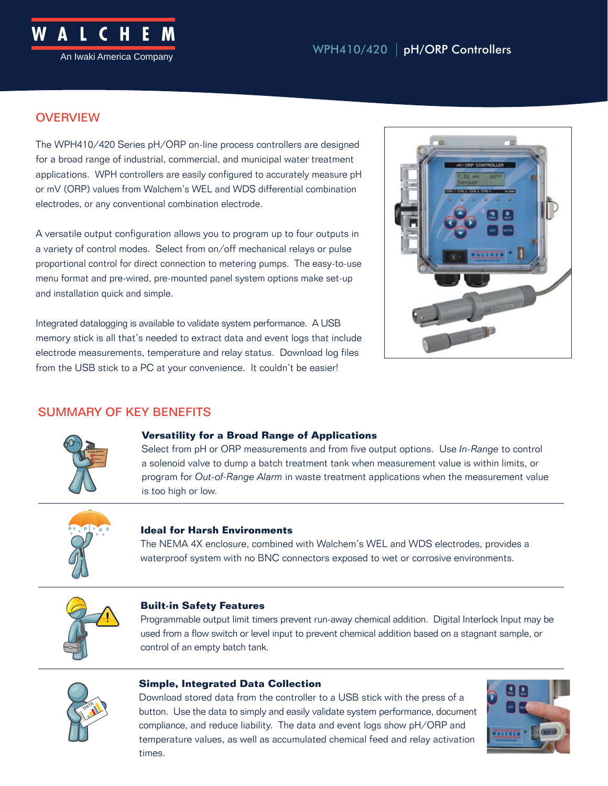### **OVERVIEW**

The WPH410/420 Series pH/ORP on-line process controllers are designed for a broad range of industrial, commercial, and municipal water treatment applications. WPH controllers are easily configured to accurately measure pH or mV (ORP) values from Walchem's WEL and WDS differential combination electrodes, or any conventional combination electrode.

A versatile output configuration allows you to program up to four outputs in a variety of control modes. Select from on/off mechanical relays or pulse proportional control for direct connection to metering pumps. The easy-to-use menu format and pre-wired, pre-mounted panel system options make set-up and installation quick and simple.

Integrated datalogging is available to validate system performance. A USB memory stick is all that's needed to extract data and event logs that include electrode measurements, temperature and relay status. Download log files from the USB stick to a PC at your convenience. It couldn't be easier!



### SUMMARY OF KEY BENEFITS



#### **Versatility for a Broad Range of Applications**

Select from pH or ORP measurements and from five output options. Use *In-Range* to control a solenoid valve to dump a batch treatment tank when measurement value is within limits, or program for *Out-of-Range Alarm* in waste treatment applications when the measurement value is too high or low.



#### **Ideal for Harsh Environments**

The NEMA 4X enclosure, combined with Walchem's WEL and WDS electrodes, provides a waterproof system with no BNC connectors exposed to wet or corrosive environments.



#### **Built-in Safety Features**

Programmable output limit timers prevent run-away chemical addition. Digital Interlock Input may be used from a flow switch or level input to prevent chemical addition based on a stagnant sample, or control of an empty batch tank.



#### **Simple, Integrated Data Collection**

Download stored data from the controller to a USB stick with the press of a button. Use the data to simply and easily validate system performance, document compliance, and reduce liability. The data and event logs show pH/ORP and temperature values, as well as accumulated chemical feed and relay activation times.

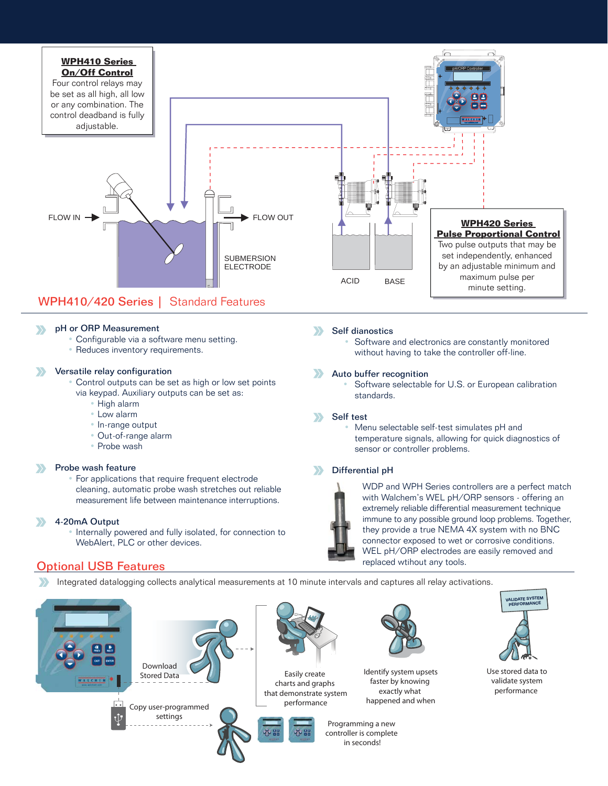

#### pH or ORP Measurement  $\sum$

- Configurable via a software menu setting.
- Reduces inventory requirements.

#### Versatile relay configuration

- Control outputs can be set as high or low set points via keypad. Auxiliary outputs can be set as:
	- High alarm
	- Low alarm
	- In-range output
	- Out-of-range alarm
	- Probe wash

#### Probe wash feature

• For applications that require frequent electrode cleaning, automatic probe wash stretches out reliable measurement life between maintenance interruptions.

#### 4-20mA Output

• Internally powered and fully isolated, for connection to WebAlert, PLC or other devices.

#### Optional USB Features

Integrated datalogging collects analytical measurements at 10 minute intervals and captures all relay activations.









Easily create charts and graphs that demonstrate system performance





faster by knowing exactly what happened and when

Programming a new controller is complete in seconds!



Use stored data to validate system performance

#### $\sum$ Self dianostics

Software and electronics are constantly monitored without having to take the controller off-line.

#### Auto buffer recognition

Software selectable for U.S. or European calibration standards.

#### Self test  $\sum$

 • Menu selectable self-test simulates pH and temperature signals, allowing for quick diagnostics of sensor or controller problems.

#### Differential pH  $\rightarrow$



WDP and WPH Series controllers are a perfect match with Walchem's WEL pH/ORP sensors - offering an extremely reliable differential measurement technique immune to any possible ground loop problems. Together, they provide a true NEMA 4X system with no BNC connector exposed to wet or corrosive conditions. WEL pH/ORP electrodes are easily removed and replaced wtihout any tools.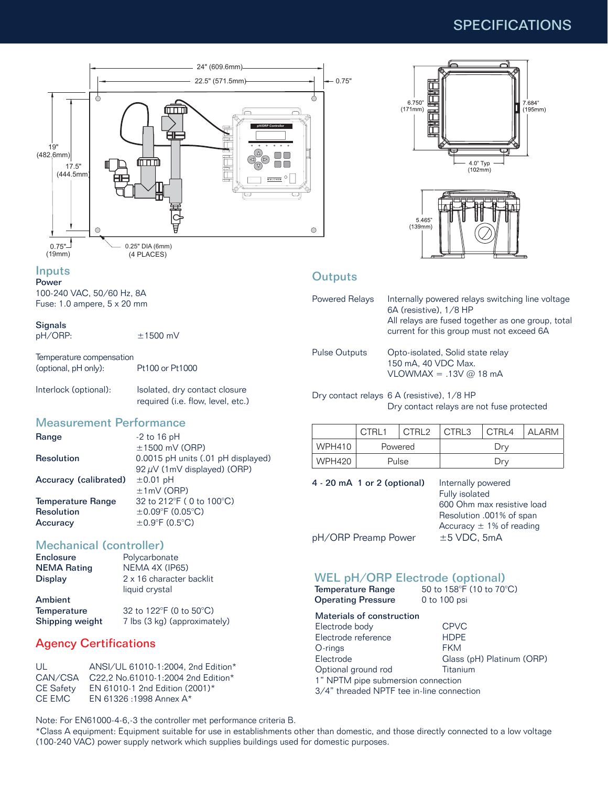## SPECIFICATIONS



#### Inputs

Power 100-240 VAC, 50/60 Hz, 8A Fuse: 1.0 ampere, 5 x 20 mm

#### **Signals**

pH/ORP: ±1500 mV

Temperature compensation (optional, pH only): Pt100 or Pt1000

| Interlock (optional): | Isolated, dry contact closure     |
|-----------------------|-----------------------------------|
|                       | required (i.e. flow, level, etc.) |

#### Measurement Performance

| Range                 | $-2$ to 16 pH                      |
|-----------------------|------------------------------------|
|                       | $\pm$ 1500 mV (ORP)                |
| Resolution            | 0.0015 pH units (.01 pH displayed) |
|                       | 92 $\mu$ V (1mV displayed) (ORP)   |
| Accuracy (calibrated) | $\pm 0.01$ pH                      |
|                       | $±1mV$ (ORP)                       |
| Temperature Range     | 32 to 212°F (0 to 100°C)           |
| Resolution            | $\pm$ 0.09°F (0.05°C)              |
| Accuracy              | $\pm 0.9$ °F (0.5°C)               |
|                       |                                    |

# Mechanical (controller)<br>Enclosure Polycarbor

| Enclosure          | Polycarbonate            |
|--------------------|--------------------------|
| <b>NEMA Rating</b> | NEMA 4X (IP65)           |
| Display            | 2 x 16 character backlit |
|                    | liquid crystal           |
| Ambient            |                          |

| Temperature     | 32 to 122 $\degree$ F (0 to 50 $\degree$ C) |
|-----------------|---------------------------------------------|
| Shipping weight | 7 lbs (3 kg) (approximately)                |

### Agency Certifications

| ANSI/UL 61010-1:2004, 2nd Edition*         |
|--------------------------------------------|
| CAN/CSA C22.2 No.61010-1:2004 2nd Edition* |
| EN 61010-1 2nd Edition (2001)*             |
| EN 61326 : 1998 Annex A*                   |
|                                            |

Note: For EN61000-4-6,-3 the controller met performance criteria B.

\*Class A equipment: Equipment suitable for use in establishments other than domestic, and those directly connected to a low voltage (100-240 VAC) power supply network which supplies buildings used for domestic purposes.





#### **Outputs**

| Powered Relays       | Internally powered relays switching line voltage<br>6A (resistive), 1/8 HP<br>All relays are fused together as one group, total<br>current for this group must not exceed 6A |
|----------------------|------------------------------------------------------------------------------------------------------------------------------------------------------------------------------|
| <b>Pulse Outputs</b> | Opto-isolated, Solid state relay<br>150 mA, 40 VDC Max.<br>$VLOWMAX = .13V @ 18 mA$                                                                                          |

Dry contact relays 6 A (resistive), 1/8 HP Dry contact relays are not fuse protected

|               | CTRL1   | CTRL <sub>2</sub> | CTRL3 | CTRL4 | <b>ALARM</b> |
|---------------|---------|-------------------|-------|-------|--------------|
| <b>WPH410</b> | Powered |                   | Drv   |       |              |
| <b>WPH420</b> | Pulse   |                   | Drv   |       |              |

4 - 20 mA 1 or 2 (optional) Internally powered

 Fully isolated 600 Ohm max resistive load Resolution .001% of span Accuracy  $\pm$  1% of reading pH/ORP Preamp Power  $\pm$  5 VDC, 5mA

#### WEL pH/ORP Electrode (optional)

| Temperature Range         | 50 to 158 $\degree$ F (10 to 70 $\degree$ C) |
|---------------------------|----------------------------------------------|
| <b>Operating Pressure</b> | 0 to 100 psi                                 |

| Materials of construction                 |                           |  |
|-------------------------------------------|---------------------------|--|
| Electrode body                            | <b>CPVC</b>               |  |
| Electrode reference                       | <b>HDPF</b>               |  |
| O-rings                                   | <b>FKM</b>                |  |
| Electrode                                 | Glass (pH) Platinum (ORP) |  |
| Optional ground rod                       | Titanium                  |  |
| 1" NPTM pipe submersion connection        |                           |  |
| 3/4" threaded NPTF tee in-line connection |                           |  |